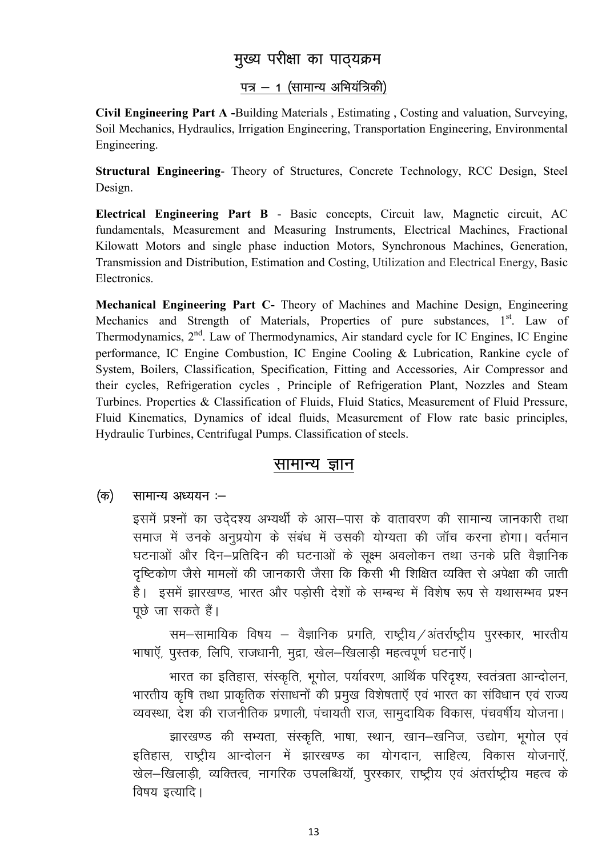# मुख्य परीक्षा का पाठ्यक्रम

## पत्र - 1 (सामान्य अभियंत्रिकी)

Civil Engineering Part A -Building Materials, Estimating, Costing and valuation, Surveying, Soil Mechanics, Hydraulics, Irrigation Engineering, Transportation Engineering, Environmental Engineering.

Structural Engineering- Theory of Structures, Concrete Technology, RCC Design, Steel Design.

Electrical Engineering Part B - Basic concepts, Circuit law, Magnetic circuit, AC fundamentals, Measurement and Measuring Instruments, Electrical Machines, Fractional Kilowatt Motors and single phase induction Motors, Synchronous Machines, Generation, Transmission and Distribution, Estimation and Costing, Utilization and Electrical Energy, Basic Electronics.

Mechanical Engineering Part C- Theory of Machines and Machine Design, Engineering Mechanics and Strength of Materials, Properties of pure substances, 1<sup>st</sup>. Law of Thermodynamics, 2<sup>nd</sup>. Law of Thermodynamics, Air standard cycle for IC Engines, IC Engine performance, IC Engine Combustion, IC Engine Cooling & Lubrication, Rankine cycle of System, Boilers, Classification, Specification, Fitting and Accessories, Air Compressor and their cycles, Refrigeration cycles, Principle of Refrigeration Plant, Nozzles and Steam Turbines. Properties & Classification of Fluids, Fluid Statics, Measurement of Fluid Pressure, Fluid Kinematics, Dynamics of ideal fluids, Measurement of Flow rate basic principles, Hydraulic Turbines, Centrifugal Pumps. Classification of steels.

## सामान्य ज्ञान

### (क) सामान्य अध्ययन :-

इसमें प्रश्नों का उदेदश्य अभ्यर्थी के आस–पास के वातावरण की सामान्य जानकारी तथा समाज में उनके अनुप्रयोग के संबंध में उसकी योग्यता की जॉच करना होगा। वर्तमान घटनाओं और दिन-प्रतिदिन की घटनाओं के सक्ष्म अवलोकन तथा उनके प्रति वैज्ञानिक दुष्टिकोण जैसे मामलों की जानकारी जैसा कि किसी भी शिक्षित व्यक्ति से अपेक्षा की जाती है। इसमें झारखण्ड, भारत और पड़ोसी देशों के सम्बन्ध में विशेष रूप से यथासम्भव प्रश्न पूछे जा सकते हैं।

सम-सामायिक विषय – वैज्ञानिक प्रगति, राष्ट्रीय /अंतर्राष्ट्रीय पुरस्कार, भारतीय भाषाएँ, पुस्तक, लिपि, राजधानी, मुद्रा, खेल-खिलाड़ी महत्वपूर्ण घटनाएँ।

भारत का इतिहास, संस्कृति, भूगोल, पर्यावरण, आर्थिक परिदृश्य, स्वतंत्रता आन्दोलन, भारतीय कृषि तथा प्राकृतिक संसाधनों की प्रमुख विशेषताएँ एवं भारत का संविधान एवं राज्य व्यवस्था, देश की राजनीतिक प्रणाली, पंचायती राज, सामुदायिक विकास, पंचवर्षीय योजना।

झारखण्ड की सभ्यता, संस्कृति, भाषा, स्थान, खान-खनिज, उद्योग, भूगोल एवं इतिहास, राष्ट्रीय आन्दोलन में झारखण्ड का योगदान, साहित्य, विकास योजनाएँ, खेल-खिलाडी, व्यक्तित्व, नागरिक उपलब्धियॉं, पुरस्कार, राष्ट्रीय एवं अंतर्राष्ट्रीय महत्व के विषय इत्यादि।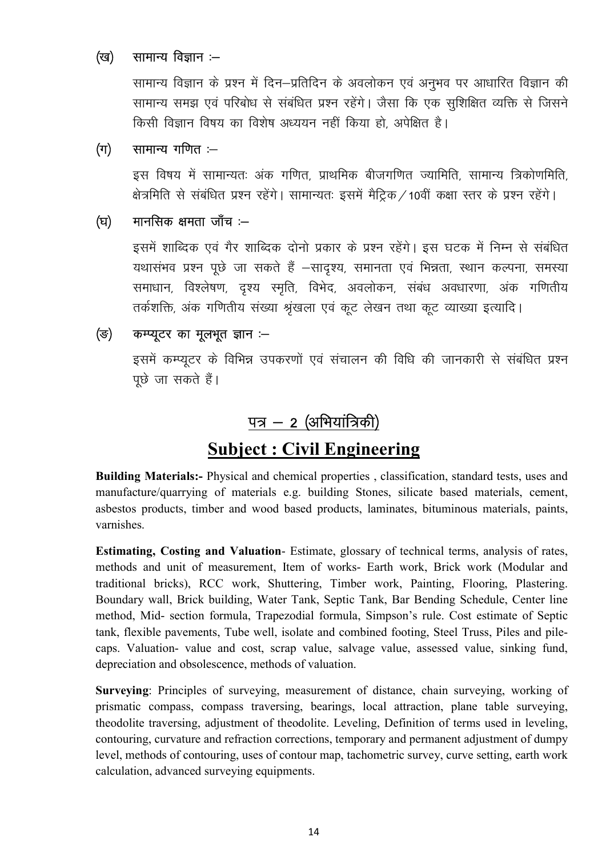### सामान्य विज्ञान :— (ख)

सामान्य विज्ञान के प्रश्न में दिन–प्रतिदिन के अवलोकन एवं अनुभव पर आधारित विज्ञान की सामान्य समझ एवं परिबोध से संबंधित प्रश्न रहेंगे। जैसा कि एक सुशिक्षित व्यक्ति से जिसने किसी विज्ञान विषय का विशेष अध्ययन नहीं किया हो अपेक्षित है।

### सामान्य गणित :-- $(\Pi)$

इस विषय में सामान्यतः अंक गणित, प्राथमिक बीजगणित ज्यामिति, सामान्य त्रिकोणमिति, क्षेत्रमिति से संबंधित प्रश्न रहेंगे। सामान्यतः इसमें मैट्रिक / 10वीं कक्षा स्तर के प्रश्न रहेंगे।

### मानसिक क्षमता जाँच :--(घ)

इसमें शाब्दिक एवं गैर शाब्दिक दोनो प्रकार के प्रश्न रहेंगे। इस घटक में निम्न से संबंधित यथासंभव प्रश्न पूछे जा सकते हैं –सादृश्य, समानता एवं भिन्नता, स्थान कल्पना, समस्या समाधान, विश्लेषण, दृश्य स्मृति, विभेद, अवलोकन, संबंध अवधारणा, अंक गणितीय तर्कशक्ति, अंक गणितीय संख्या श्रृंखला एवं कूट लेखन तथा कूट व्याख्या इत्यादि।

### कम्प्यूटर का मूलभूत ज्ञान :-(ভ)

इसमें कम्प्यूटर के विभिन्न उपकरणों एवं संचालन की विधि की जानकारी से संबंधित प्रश्न पूछे जा सकते हैं।

# पत्र – 2 (अभियांत्रिकी)

# **Subject: Civil Engineering**

Building Materials:- Physical and chemical properties, classification, standard tests, uses and manufacture/quarrying of materials e.g. building Stones, silicate based materials, cement, asbestos products, timber and wood based products, laminates, bituminous materials, paints, varnishes.

Estimating, Costing and Valuation-Estimate, glossary of technical terms, analysis of rates, methods and unit of measurement, Item of works- Earth work, Brick work (Modular and traditional bricks), RCC work, Shuttering, Timber work, Painting, Flooring, Plastering. Boundary wall, Brick building, Water Tank, Septic Tank, Bar Bending Schedule, Center line method, Mid- section formula, Trapezodial formula, Simpson's rule. Cost estimate of Septic tank, flexible pavements, Tube well, isolate and combined footing, Steel Truss, Piles and pilecaps. Valuation- value and cost, scrap value, salvage value, assessed value, sinking fund, depreciation and obsolescence, methods of valuation.

Surveying: Principles of surveying, measurement of distance, chain surveying, working of prismatic compass, compass traversing, bearings, local attraction, plane table surveying, theodolite traversing, adjustment of theodolite. Leveling, Definition of terms used in leveling, contouring, curvature and refraction corrections, temporary and permanent adjustment of dumpy level, methods of contouring, uses of contour map, tachometric survey, curve setting, earth work calculation, advanced surveying equipments.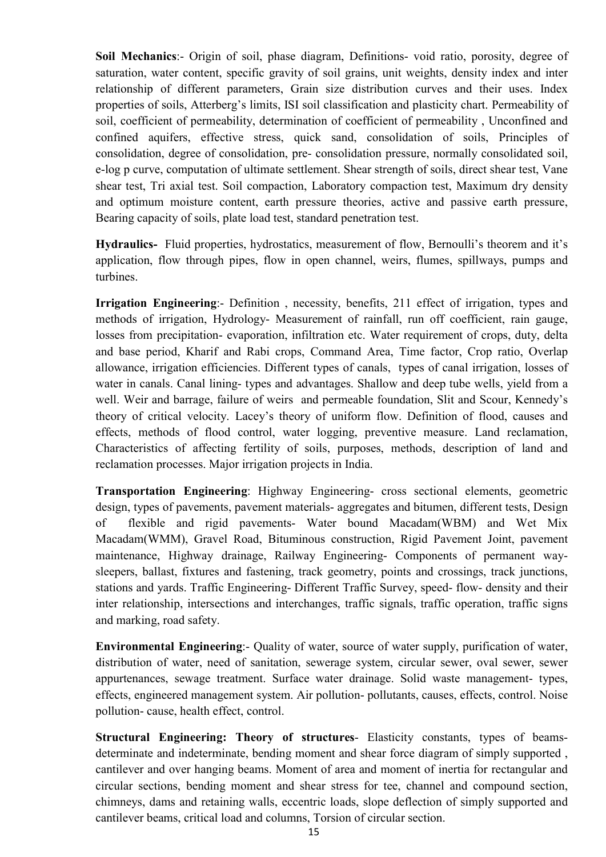Soil Mechanics:- Origin of soil, phase diagram, Definitions- void ratio, porosity, degree of saturation, water content, specific gravity of soil grains, unit weights, density index and inter relationship of different parameters, Grain size distribution curves and their uses. Index properties of soils, Atterberg's limits, ISI soil classification and plasticity chart. Permeability of soil, coefficient of permeability, determination of coefficient of permeability , Unconfined and confined aquifers, effective stress, quick sand, consolidation of soils, Principles of consolidation, degree of consolidation, pre- consolidation pressure, normally consolidated soil, e-log p curve, computation of ultimate settlement. Shear strength of soils, direct shear test, Vane shear test, Tri axial test. Soil compaction, Laboratory compaction test, Maximum dry density and optimum moisture content, earth pressure theories, active and passive earth pressure, Bearing capacity of soils, plate load test, standard penetration test.

Hydraulics- Fluid properties, hydrostatics, measurement of flow, Bernoulli's theorem and it's application, flow through pipes, flow in open channel, weirs, flumes, spillways, pumps and turbines.

Irrigation Engineering:- Definition , necessity, benefits, 211 effect of irrigation, types and methods of irrigation, Hydrology- Measurement of rainfall, run off coefficient, rain gauge, losses from precipitation- evaporation, infiltration etc. Water requirement of crops, duty, delta and base period, Kharif and Rabi crops, Command Area, Time factor, Crop ratio, Overlap allowance, irrigation efficiencies. Different types of canals, types of canal irrigation, losses of water in canals. Canal lining- types and advantages. Shallow and deep tube wells, yield from a well. Weir and barrage, failure of weirs and permeable foundation, Slit and Scour, Kennedy's theory of critical velocity. Lacey's theory of uniform flow. Definition of flood, causes and effects, methods of flood control, water logging, preventive measure. Land reclamation, Characteristics of affecting fertility of soils, purposes, methods, description of land and reclamation processes. Major irrigation projects in India.

Transportation Engineering: Highway Engineering- cross sectional elements, geometric design, types of pavements, pavement materials- aggregates and bitumen, different tests, Design of flexible and rigid pavements- Water bound Macadam(WBM) and Wet Mix Macadam(WMM), Gravel Road, Bituminous construction, Rigid Pavement Joint, pavement maintenance, Highway drainage, Railway Engineering- Components of permanent waysleepers, ballast, fixtures and fastening, track geometry, points and crossings, track junctions, stations and yards. Traffic Engineering- Different Traffic Survey, speed- flow- density and their inter relationship, intersections and interchanges, traffic signals, traffic operation, traffic signs and marking, road safety.

Environmental Engineering:- Quality of water, source of water supply, purification of water, distribution of water, need of sanitation, sewerage system, circular sewer, oval sewer, sewer appurtenances, sewage treatment. Surface water drainage. Solid waste management- types, effects, engineered management system. Air pollution- pollutants, causes, effects, control. Noise pollution- cause, health effect, control.

Structural Engineering: Theory of structures- Elasticity constants, types of beamsdeterminate and indeterminate, bending moment and shear force diagram of simply supported , cantilever and over hanging beams. Moment of area and moment of inertia for rectangular and circular sections, bending moment and shear stress for tee, channel and compound section, chimneys, dams and retaining walls, eccentric loads, slope deflection of simply supported and cantilever beams, critical load and columns, Torsion of circular section.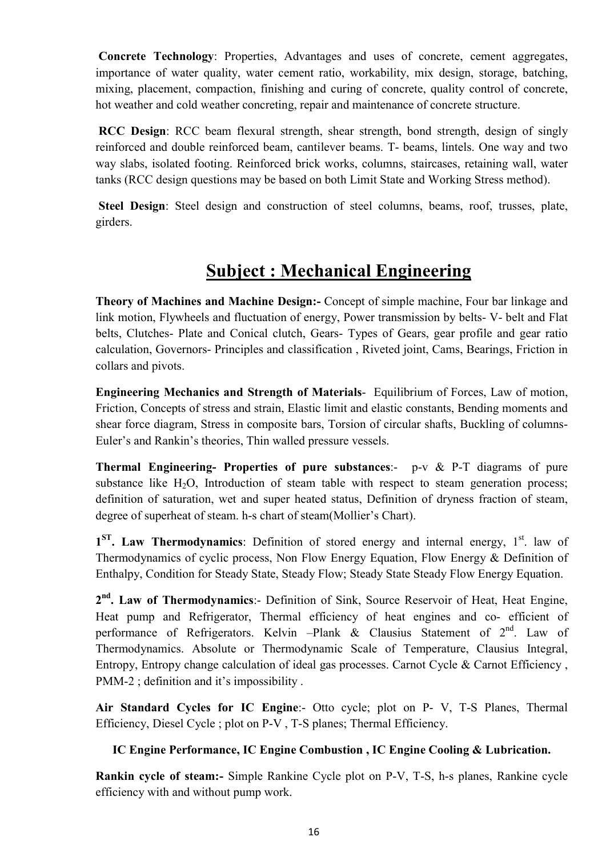Concrete Technology: Properties, Advantages and uses of concrete, cement aggregates, importance of water quality, water cement ratio, workability, mix design, storage, batching, mixing, placement, compaction, finishing and curing of concrete, quality control of concrete, hot weather and cold weather concreting, repair and maintenance of concrete structure.

 RCC Design: RCC beam flexural strength, shear strength, bond strength, design of singly reinforced and double reinforced beam, cantilever beams. T- beams, lintels. One way and two way slabs, isolated footing. Reinforced brick works, columns, staircases, retaining wall, water tanks (RCC design questions may be based on both Limit State and Working Stress method).

 Steel Design: Steel design and construction of steel columns, beams, roof, trusses, plate, girders.

# Subject : Mechanical Engineering

Theory of Machines and Machine Design:- Concept of simple machine, Four bar linkage and link motion, Flywheels and fluctuation of energy, Power transmission by belts- V- belt and Flat belts, Clutches- Plate and Conical clutch, Gears- Types of Gears, gear profile and gear ratio calculation, Governors- Principles and classification , Riveted joint, Cams, Bearings, Friction in collars and pivots.

Engineering Mechanics and Strength of Materials- Equilibrium of Forces, Law of motion, Friction, Concepts of stress and strain, Elastic limit and elastic constants, Bending moments and shear force diagram, Stress in composite bars, Torsion of circular shafts, Buckling of columns-Euler's and Rankin's theories, Thin walled pressure vessels.

Thermal Engineering- Properties of pure substances:- p-v & P-T diagrams of pure substance like  $H_2O$ , Introduction of steam table with respect to steam generation process; definition of saturation, wet and super heated status, Definition of dryness fraction of steam, degree of superheat of steam. h-s chart of steam(Mollier's Chart).

1<sup>ST</sup>. Law Thermodynamics: Definition of stored energy and internal energy, 1<sup>st</sup>. law of Thermodynamics of cyclic process, Non Flow Energy Equation, Flow Energy & Definition of Enthalpy, Condition for Steady State, Steady Flow; Steady State Steady Flow Energy Equation.

2<sup>nd</sup>. Law of Thermodynamics:- Definition of Sink, Source Reservoir of Heat, Heat Engine, Heat pump and Refrigerator, Thermal efficiency of heat engines and co- efficient of performance of Refrigerators. Kelvin -Plank & Clausius Statement of  $2<sup>nd</sup>$ . Law of Thermodynamics. Absolute or Thermodynamic Scale of Temperature, Clausius Integral, Entropy, Entropy change calculation of ideal gas processes. Carnot Cycle & Carnot Efficiency , PMM-2; definition and it's impossibility.

Air Standard Cycles for IC Engine:- Otto cycle; plot on P- V, T-S Planes, Thermal Efficiency, Diesel Cycle ; plot on P-V , T-S planes; Thermal Efficiency.

## IC Engine Performance, IC Engine Combustion , IC Engine Cooling & Lubrication.

Rankin cycle of steam:- Simple Rankine Cycle plot on P-V, T-S, h-s planes, Rankine cycle efficiency with and without pump work.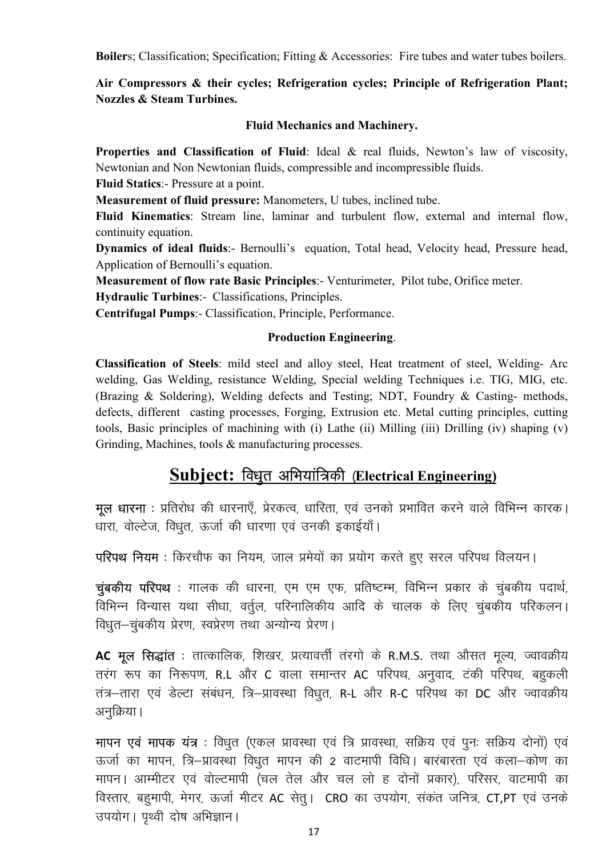**Boilers**; Classification; Specification; Fitting & Accessories: Fire tubes and water tubes boilers.

Air Compressors & their cycles; Refrigeration cycles; Principle of Refrigeration Plant; **Nozzles & Steam Turbines.** 

### **Fluid Mechanics and Machinery.**

Properties and Classification of Fluid: Ideal & real fluids, Newton's law of viscosity, Newtonian and Non Newtonian fluids, compressible and incompressible fluids.

Fluid Statics:- Pressure at a point.

Measurement of fluid pressure: Manometers, U tubes, inclined tube.

Fluid Kinematics: Stream line, laminar and turbulent flow, external and internal flow, continuity equation.

Dynamics of ideal fluids:- Bernoulli's equation, Total head, Velocity head, Pressure head, Application of Bernoulli's equation.

Measurement of flow rate Basic Principles:- Venturimeter, Pilot tube, Orifice meter.

Hydraulic Turbines:- Classifications, Principles.

Centrifugal Pumps:- Classification, Principle, Performance.

### **Production Engineering.**

Classification of Steels: mild steel and alloy steel, Heat treatment of steel, Welding- Arc welding, Gas Welding, resistance Welding, Special welding Techniques i.e. TIG, MIG, etc. (Brazing & Soldering), Welding defects and Testing; NDT, Foundry & Casting- methods, defects, different casting processes, Forging, Extrusion etc. Metal cutting principles, cutting tools, Basic principles of machining with (i) Lathe (ii) Milling (iii) Drilling (iv) shaping (v) Grinding, Machines, tools & manufacturing processes.

# Subject: विधुत अभियांत्रिकी (Electrical Engineering)

मुल धारना : प्रतिरोध की धारनाएँ, प्रेरकत्व, धारिता, एवं उनको प्रभावित करने वाले विभिन्न कारक। धारा, वोल्टेज, विधुत, ऊर्जा की धारणा एवं उनकी इकाईयाँ।

परिपथ नियम: किरचौफ का नियम, जाल प्रमेयों का प्रयोग करते हुए सरल परिपथ विलयन।

चुंबकीय परिपथ : गालक की धारना, एम एम एफ, प्रतिष्टम्भ, विभिन्न प्रकार के चुंबकीय पदार्थ, विभिन्न विन्यास यथा सीधा, वर्तुल, परिनालिकीय आदि के चालक के लिए चुंबकीय परिकलन। विधुत-चुंबकीय प्रेरण, स्वप्रेरण तथा अन्योन्य प्रेरण।

AC मूल सिद्धांत : तात्कालिक, शिखर, प्रत्यावर्त्ती तंरगो के R.M.S. तथा औसत मृत्य, ज्वावक्रीय तरंग रूप का निरूपण, R.L और C वाला समान्तर AC परिपथ, अनुवाद, टंकी परिपथ, बहुकली तंत्र-तारा एवं डेल्टा संबंधन, त्रि-प्रावस्था विधुत, R-L और R-C परिपथ का DC और ज्वावक्रीय अनुक्रिया।

मापन एवं मापक यंत्र : विधुत (एकल प्रावस्था एवं त्रि प्रावस्था, सक्रिय एवं पुनः सक्रिय दोनों) एवं ऊर्जा का मापन, त्रि–प्रावस्था विधृत मापन की 2 वाटमापी विधि। बारंबारता एवं कला–कोण का मापन। आम्मीटर एवं वोल्टमापी (चल तेल और चल लो ह दोनों प्रकार), परिसर, वाटमापी का विस्तार, बहमापी, मेगर, ऊर्जा मीटर AC सेत्। CRO का उपयोग, संकंत जनित्र, CT,PT एवं उनके उपयोग। पृथ्वी दोष अभिज्ञान।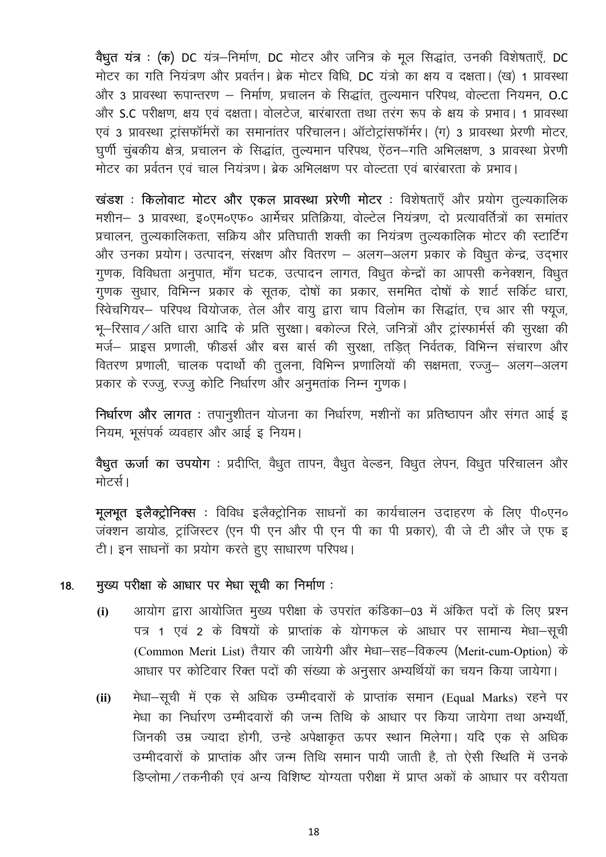वैधृत यंत्र : (क) DC यंत्र-निर्माण, DC मोटर और जनित्र के मूल सिद्धांत, उनकी विशेषताएँ, DC मोटर का गति नियंत्रण और प्रवर्तन। ब्रेक मोटर विधि, DC यंत्रो का क्षय व दक्षता। (ख) 1 प्रावस्था और 3 प्रावस्था रूपान्तरण – निर्माण, प्रचालन के सिद्धांत, तुल्यमान परिपथ, वोल्टता नियमन, O.C और S.C परीक्षण, क्षय एवं दक्षता। वोलटेज, बारंबारता तथा तरंग रूप के क्षय के प्रभाव। 1 प्रावस्था एवं 3 प्रावस्था ट्रांसफॉर्मरों का समानांतर परिचालन। ऑटोट्रांसफॉर्मर। (ग) 3 प्रावस्था प्रेरणी मोटर, घूर्णी चुंबकीय क्षेत्र, प्रचालन के सिद्धांत, तुल्यमान परिपथ, ऐंठन–गति अभिलक्षण, 3 प्रावस्था प्रेरणी .<br>मोटर का प्रर्वतन एवं चाल नियंत्रण। ब्रेक अभिलक्षण पर वोल्टता एवं बारंबारता के प्रभाव।

खंडश : किलोवाट मोटर और एकल प्रावस्था प्ररेणी मोटर : विशेषताएँ और प्रयोग तुल्यकालिक मशीन– 3 प्रावस्था, इ०एम०एफ० आर्मेचर प्रतिक्रिया, वोल्टेल नियंत्रण, दो प्रत्यावर्तित्रों का समांतर प्रचालन, तुल्यकालिकता, सक्रिय और प्रतिघाती शक्ती का नियंत्रण तुल्यकालिक मोटर की स्टार्टिंग और उनका प्रयोग। उत्पादन, संरक्षण और वितरण – अलग-अलग प्रकार के विधुत केन्द्र, उद्भार गुणक, विविधता अनुपात, माँग घटक, उत्पादन लागत, विधुत केन्द्रों का आपसी कनेक्शन, विधुत गुणक सुधार, विभिन्न प्रकार के सूतक, दोषों का प्रकार, सममित दोषों के शार्ट सर्किट धारा, स्विचगियर- परिपथ वियोजक, तेल और वायु द्वारा चाप विलोम का सिद्धांत, एच आर सी फ्यूज, भू-रिसाव / अति धारा आदि के प्रति सुरक्षा । बकोल्ज रिले, जनित्रों और ट्रांस्फार्मर्स की सुरक्षा की मर्ज– प्राइस प्रणाली, फीडर्स और बस बार्स की सुरक्षा, तड़ित् निर्वतक, विभिन्न संचारण और वितरण प्रणाली, चालक पदार्थो की तुलना, विभिन्न प्रणालियों की सक्षमता, रज्जु– अलग–अलग प्रकार के रज्जू, रज्जु कोटि निर्धारण और अनुमतांक निम्न गुणक।

निर्धारण और लागत : तपानुशीतन योजना का निर्धारण, मशीनों का प्रतिष्ठापन और संगत आई इ नियम, भूसंपर्क व्यवहार और आई इ नियम।

<mark>वैधृत ऊर्जा का उपयोग</mark> : प्रदीप्ति, वैधृत तापन, वैधृत वेल्डन, विधृत लेपन, विधृत परिचालन और मोटर्स।

**मूलभूत इलैक्ट्रोनिक्स** : विविध इलैक्ट्रोनिक साधनों का कार्यचालन उदाहरण के लिए पी०एन० जंक्शन डायोड, ट्रांजिस्टर (एन पी एन और पी एन पी का पी प्रकार), वी जे टी और जे एफ इ टी। इन साधनों का प्रयोग करते हुए साधारण परिपथ।

### मुख्य परीक्षा के आधार पर मेधा सूची का निर्माण: 18.

- आयोग द्वारा आयोजित मुख्य परीक्षा के उपरांत कंडिका-03 में अंकित पदों के लिए प्रश्न  $(i)$ पत्र 1 एवं 2 के विषयों के प्राप्तांक के योगफल के आधार पर सामान्य मेधा–सूची (Common Merit List) तैयार की जायेगी और मेधा-सह-विकल्प (Merit-cum-Option) के आधार पर कोटिवार रिक्त पदों की संख्या के अनुसार अभ्यर्थियों का चयन किया जायेगा।
- मेधा-सूची में एक से अधिक उम्मीदवारों के प्राप्तांक समान (Equal Marks) रहने पर  $(ii)$ मेधा का निर्धारण उम्मीदवारों की जन्म तिथि के आधार पर किया जायेगा तथा अभ्यर्थी, जिनकी उम्र ज्यादा होगी, उन्हे अपेक्षाकृत ऊपर स्थान मिलेगा। यदि एक से अधिक उम्मीदवारों के प्राप्तांक और जन्म तिथि समान पायी जाती है, तो ऐसी स्थिति में उनके डिप्लोमा / तकनीकी एवं अन्य विशिष्ट योग्यता परीक्षा में प्राप्त अकों के आधार पर वरीयता